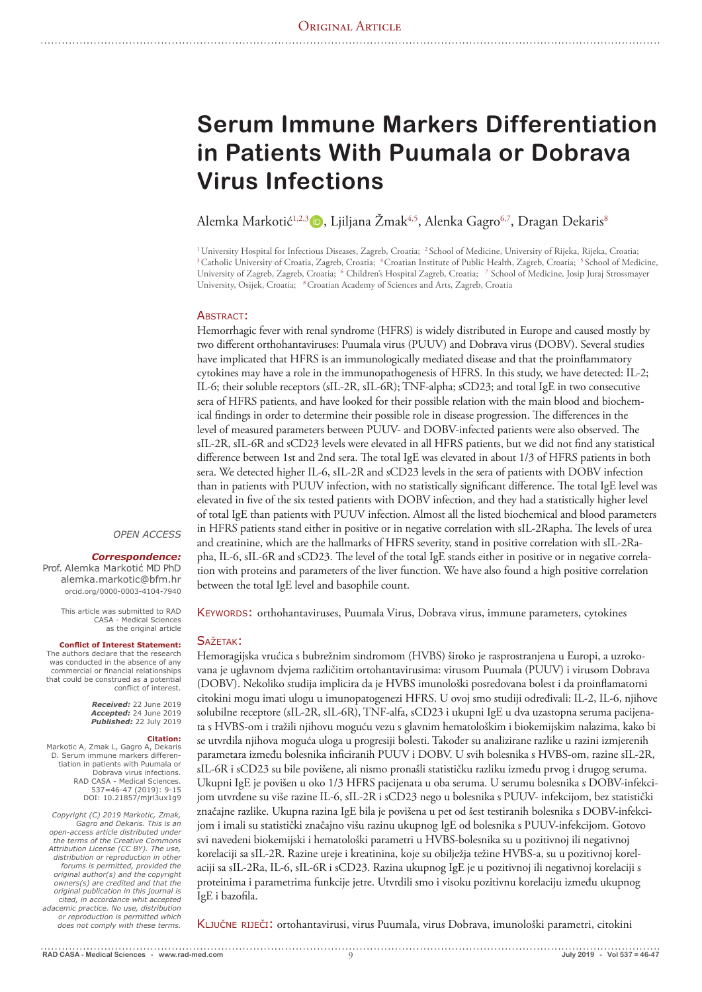# **Serum Immune Markers Differentiation in Patients With Puumala or Dobrava Virus Infections**

Alemka Markotić<sup>1,2,3</sup> D, Ljiljana Žmak<sup>4,5</sup>, Alenka Gagro<sup>6,7</sup>, Dragan Dekaris<sup>8</sup>

<sup>1</sup> University Hospital for Infectious Diseases, Zagreb, Croatia; <sup>2</sup> School of Medicine, University of Rijeka, Rijeka, Croatia; <sup>3</sup> Catholic University of Croatia, Zagreb, Croatia; <sup>4</sup> Croatian Institute of Public Health, University of Zagreb, Zagreb, Croatia; <sup>6</sup> Children's Hospital Zagreb, Croatia; <sup>7</sup> School of Medicine, Josip Juraj Strossmayer University, Osijek, Croatia; 8 Croatian Academy of Sciences and Arts, Zagreb, Croatia

#### ABSTRACT:

Hemorrhagic fever with renal syndrome (HFRS) is widely distributed in Europe and caused mostly by two different orthohantaviruses: Puumala virus (PUUV) and Dobrava virus (DOBV). Several studies have implicated that HFRS is an immunologically mediated disease and that the proinflammatory cytokines may have a role in the immunopathogenesis of HFRS. In this study, we have detected: IL-2; IL-6; their soluble receptors (sIL-2R, sIL-6R); TNF-alpha; sCD23; and total IgE in two consecutive sera of HFRS patients, and have looked for their possible relation with the main blood and biochemical findings in order to determine their possible role in disease progression. The differences in the level of measured parameters between PUUV- and DOBV-infected patients were also observed. The sIL-2R, sIL-6R and sCD23 levels were elevated in all HFRS patients, but we did not find any statistical difference between 1st and 2nd sera. The total IgE was elevated in about 1/3 of HFRS patients in both sera. We detected higher IL-6, sIL-2R and sCD23 levels in the sera of patients with DOBV infection than in patients with PUUV infection, with no statistically significant difference. The total IgE level was elevated in five of the six tested patients with DOBV infection, and they had a statistically higher level of total IgE than patients with PUUV infection. Almost all the listed biochemical and blood parameters in HFRS patients stand either in positive or in negative correlation with sIL-2Rapha. The levels of urea and creatinine, which are the hallmarks of HFRS severity, stand in positive correlation with sIL-2Rapha, IL-6, sIL-6R and sCD23. The level of the total IgE stands either in positive or in negative correlation with proteins and parameters of the liver function. We have also found a high positive correlation between the total IgE level and basophile count.

Keywords: orthohantaviruses, Puumala Virus, Dobrava virus, immune parameters, cytokines

#### SAŽETAK:

Hemoragijska vrućica s bubrežnim sindromom (HVBS) široko je rasprostranjena u Europi, a uzrokovana je uglavnom dvjema različitim ortohantavirusima: virusom Puumala (PUUV) i virusom Dobrava (DOBV). Nekoliko studija implicira da je HVBS imunološki posredovana bolest i da proinflamatorni citokini mogu imati ulogu u imunopatogenezi HFRS. U ovoj smo studiji određivali: IL-2, IL-6, njihove solubilne receptore (sIL-2R, sIL-6R), TNF-alfa, sCD23 i ukupni IgE u dva uzastopna seruma pacijenata s HVBS-om i tražili njihovu moguću vezu s glavnim hematološkim i biokemijskim nalazima, kako bi se utvrdila njihova moguća uloga u progresiji bolesti. Također su analizirane razlike u razini izmjerenih parametara između bolesnika inficiranih PUUV i DOBV. U svih bolesnika s HVBS-om, razine sIL-2R, sIL-6R i sCD23 su bile povišene, ali nismo pronašli statističku razliku između prvog i drugog seruma. Ukupni IgE je povišen u oko 1/3 HFRS pacijenata u oba seruma. U serumu bolesnika s DOBV-infekcijom utvrđene su više razine IL-6, sIL-2R i sCD23 nego u bolesnika s PUUV- infekcijom, bez statistički značajne razlike. Ukupna razina IgE bila je povišena u pet od šest testiranih bolesnika s DOBV-infekcijom i imali su statistički značajno višu razinu ukupnog IgE od bolesnika s PUUV-infekcijom. Gotovo svi navedeni biokemijski i hematološki parametri u HVBS-bolesnika su u pozitivnoj ili negativnoj korelaciji sa sIL-2R. Razine ureje i kreatinina, koje su obilježja težine HVBS-a, su u pozitivnoj korelaciji sa sIL-2Ra, IL-6, sIL-6R i sCD23. Razina ukupnog IgE je u pozitivnoj ili negativnoj korelaciji s proteinima i parametrima funkcije jetre. Utvrdili smo i visoku pozitivnu korelaciju između ukupnog IgE i bazofila.

Ključne riječi: ortohantavirusi, virus Puumala, virus Dobrava, imunološki parametri, citokini

#### *OPEN ACCESS*

## *Correspondence:*

Prof. Alemka Markotić MD PhD alemka.markotic@bfm.hr orcid.org/0000-0003-4104-7940

> This article was submitted to RAD CASA - Medical Sciences as the original article

#### **Conflict of Interest Statement:**

The authors declare that the research was conducted in the absence of any commercial or financial relationships that could be construed as a potential conflict of interest.

> *Received:* 22 June 2019 *Accepted:* 24 June 2019 *Published:* 22 July 2019

#### **Citation:**

Markotic A, Zmak L, Gagro A, Dekaris D. Serum immune markers differen-tiation in patients with Puumala or Dobrava virus infections. RAD CASA - Medical Sciences. 537=46-47 (2019): 9-15 DOI: 10.21857/mjrl3ux1g9

*Copyright (C) 2019 Markotic, Zmak, Gagro and Dekaris. This is an open-access article distributed under the terms of the Creative Commons Attribution License (CC BY). The use, distribution or reproduction in other forums is permitted, provided the original author(s) and the copyright owners(s) are credited and that the original publication in this journal is cited, in accordance whit accepted adacemic practice. No use, distribution or reproduction is permitted which does not comply with these terms.*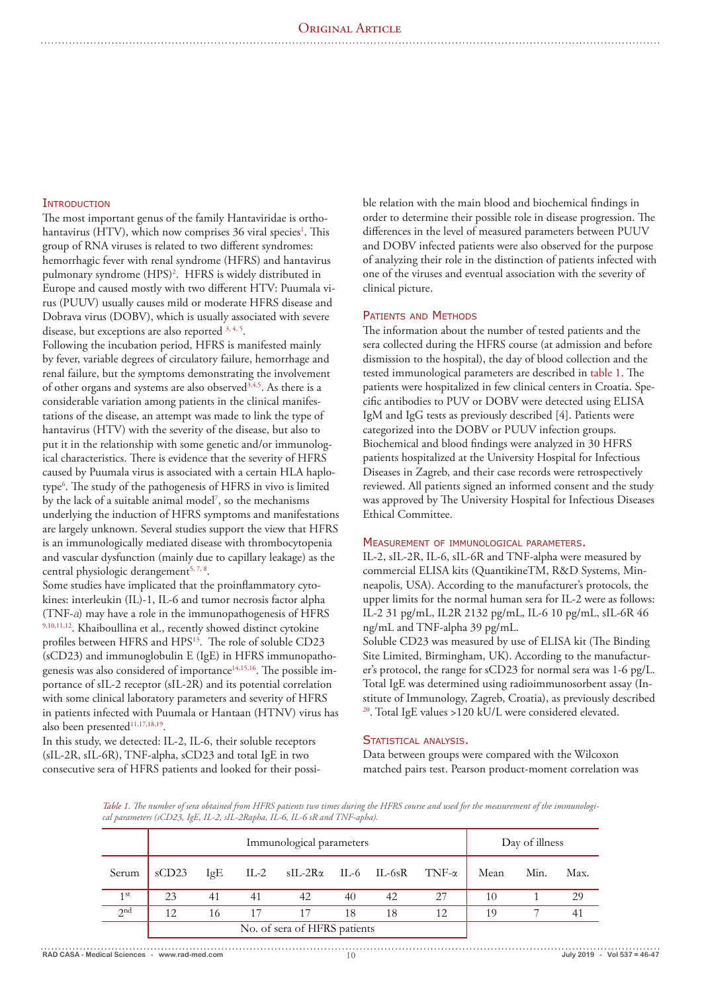# **INTRODUCTION**

The most important genus of the family Hantaviridae is orthohantavirus (HTV), which now comprises 36 viral species<sup>1</sup>. This group of RNA viruses is related to two different syndromes: hemorrhagic fever with renal syndrome (HFRS) and hantavirus pulmonary syndrome (HPS)<sup>2</sup>. HFRS is widely distributed in Europe and caused mostly with two different HTV: Puumala virus (PUUV) usually causes mild or moderate HFRS disease and Dobrava virus (DOBV), which is usually associated with severe disease, but exceptions are also reported 3, 4, 5.

Following the incubation period, HFRS is manifested mainly by fever, variable degrees of circulatory failure, hemorrhage and renal failure, but the symptoms demonstrating the involvement of other organs and systems are also observed<sup>3,4,5</sup>. As there is a considerable variation among patients in the clinical manifestations of the disease, an attempt was made to link the type of hantavirus (HTV) with the severity of the disease, but also to put it in the relationship with some genetic and/or immunological characteristics. There is evidence that the severity of HFRS caused by Puumala virus is associated with a certain HLA haplotype6 . The study of the pathogenesis of HFRS in vivo is limited by the lack of a suitable animal model<sup>7</sup>, so the mechanisms underlying the induction of HFRS symptoms and manifestations are largely unknown. Several studies support the view that HFRS is an immunologically mediated disease with thrombocytopenia and vascular dysfunction (mainly due to capillary leakage) as the central physiologic derangement<sup>5, 7, 8</sup>.

Some studies have implicated that the proinflammatory cytokines: interleukin (IL)-1, IL-6 and tumor necrosis factor alpha (TNF-*<sup>a</sup>*) may have a role in the immunopathogenesis of HFRS 9,10,11,12. Khaiboullina et al., recently showed distinct cytokine profiles between HFRS and HPS<sup>13</sup>. The role of soluble CD23 (sCD23) and immunoglobulin E (IgE) in HFRS immunopathogenesis was also considered of importance<sup>14,15,16</sup>. The possible importance of sIL-2 receptor (sIL-2R) and its potential correlation with some clinical laboratory parameters and severity of HFRS in patients infected with Puumala or Hantaan (HTNV) virus has also been presented<sup>11,17,18,19</sup>.

In this study, we detected: IL-2, IL-6, their soluble receptors (sIL-2R, sIL-6R), TNF-alpha, sCD23 and total IgE in two consecutive sera of HFRS patients and looked for their possible relation with the main blood and biochemical findings in order to determine their possible role in disease progression. The differences in the level of measured parameters between PUUV and DOBV infected patients were also observed for the purpose of analyzing their role in the distinction of patients infected with one of the viruses and eventual association with the severity of clinical picture.

## PATIENTS AND METHODS

The information about the number of tested patients and the sera collected during the HFRS course (at admission and before dismission to the hospital), the day of blood collection and the tested immunological parameters are described in table 1. The patients were hospitalized in few clinical centers in Croatia. Specific antibodies to PUV or DOBV were detected using ELISA IgM and IgG tests as previously described [4]. Patients were categorized into the DOBV or PUUV infection groups. Biochemical and blood findings were analyzed in 30 HFRS patients hospitalized at the University Hospital for Infectious Diseases in Zagreb, and their case records were retrospectively reviewed. All patients signed an informed consent and the study was approved by The University Hospital for Infectious Diseases Ethical Committee.

#### Measurement of immunological parameters.

IL-2, sIL-2R, IL-6, sIL-6R and TNF-alpha were measured by commercial ELISA kits (QuantikineTM, R&D Systems, Minneapolis, USA). According to the manufacturer's protocols, the upper limits for the normal human sera for IL-2 were as follows: IL-2 31 pg/mL, IL2R 2132 pg/mL, IL-6 10 pg/mL, sIL-6R 46 ng/mL and TNF-alpha 39 pg/mL.

Soluble CD23 was measured by use of ELISA kit (The Binding Site Limited, Birmingham, UK). According to the manufacturer's protocol, the range for sCD23 for normal sera was 1-6 pg/L. Total IgE was determined using radioimmunosorbent assay (Institute of Immunology, Zagreb, Croatia), as previously described <sup>20</sup>. Total IgE values >120 kU/L were considered elevated.

## STATISTICAL ANALYSIS.

Data between groups were compared with the Wilcoxon matched pairs test. Pearson product-moment correlation was

*Table 1. The number of sera obtained from HFRS patients two times during the HFRS course and used for the measurement of the immunological parameters (sCD23, IgE, IL-2, sIL-2Rapha, IL-6, IL-6 sR and TNF-apha).* 

|                 | Immunological parameters     |     |    |                                                   |    |    |    |      | Day of illness |      |  |
|-----------------|------------------------------|-----|----|---------------------------------------------------|----|----|----|------|----------------|------|--|
| Serum           | sCD23                        | IgE |    | IL-2 $sII$ -2R $\alpha$ IL-6 IL-6sR TNF- $\alpha$ |    |    |    | Mean | Min.           | Max. |  |
| 1 <sup>st</sup> | 23                           | 41  | 41 | 42                                                | 40 | 42 | 27 | 10   |                | 29   |  |
| 2 <sup>nd</sup> | 12                           | 16  | 17 | 17                                                | 18 | 18 | 12 | 19   |                |      |  |
|                 | No. of sera of HFRS patients |     |    |                                                   |    |    |    |      |                |      |  |

**RAD CASA - Medical Sciences - www.rad-med.com** 10 **July 2019 - Vol 537 = 46-47**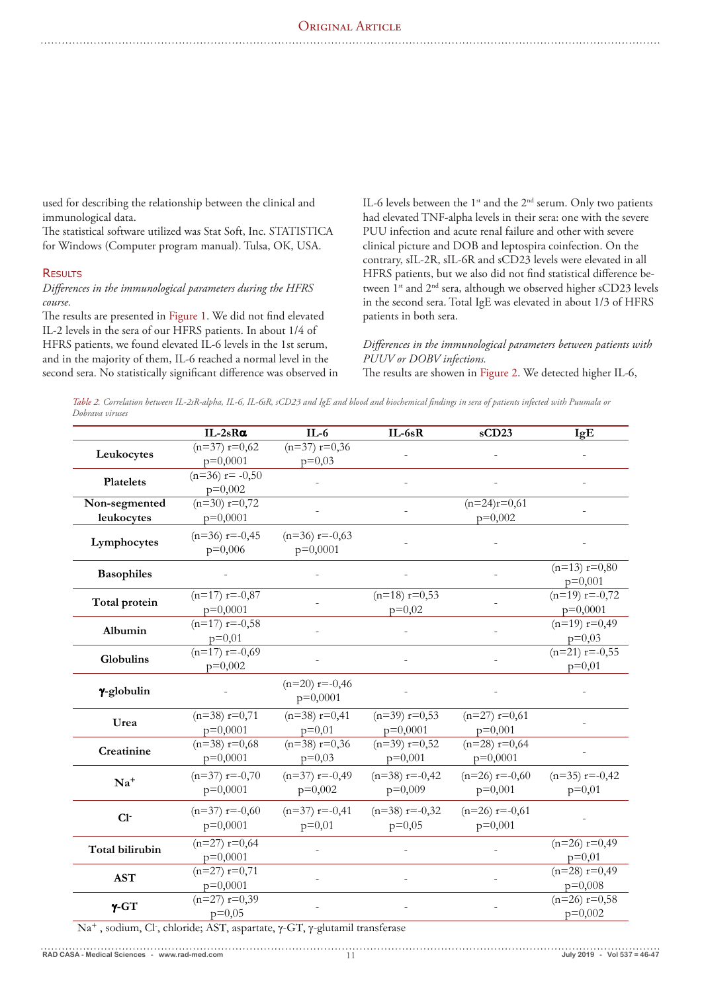# ORIGINAL ARTICLE

used for describing the relationship between the clinical and immunological data.

The statistical software utilized was Stat Soft, Inc. STATISTICA for Windows (Computer program manual). Tulsa, OK, USA.

## **RESULTS**

*Differences in the immunological parameters during the HFRS course.* 

The results are presented in Figure 1. We did not find elevated IL-2 levels in the sera of our HFRS patients. In about 1/4 of HFRS patients, we found elevated IL-6 levels in the 1st serum, and in the majority of them, IL-6 reached a normal level in the second sera. No statistically significant difference was observed in IL-6 levels between the  $1^{st}$  and the  $2^{nd}$  serum. Only two patients had elevated TNF-alpha levels in their sera: one with the severe PUU infection and acute renal failure and other with severe clinical picture and DOB and leptospira coinfection. On the contrary, sIL-2R, sIL-6R and sCD23 levels were elevated in all HFRS patients, but we also did not find statistical difference between 1<sup>st</sup> and 2<sup>nd</sup> sera, although we observed higher sCD23 levels in the second sera. Total IgE was elevated in about 1/3 of HFRS patients in both sera.

# *Differences in the immunological parameters between patients with PUUV or DOBV infections.*

The results are showen in Figure 2. We detected higher IL-6,

*Table 2. Correlation between IL-2sR-alpha, IL-6, IL-6sR, sCD23 and IgE and blood and biochemical findings in sera of patients infected with Puumala or Dobrava viruses*

|                   | $IL-2sR\alpha$    | $IL-6$           | $IL-6sR$         | sCD23            | IgE              |  |
|-------------------|-------------------|------------------|------------------|------------------|------------------|--|
| Leukocytes        | $(n=37)$ $r=0,62$ | $(n=37)$ r=0,36  |                  |                  |                  |  |
|                   | $p=0,0001$        | $p=0,03$         |                  |                  |                  |  |
| Platelets         | $(n=36)$ r= -0,50 |                  |                  |                  |                  |  |
|                   | $p=0,002$         |                  |                  |                  |                  |  |
| Non-segmented     | $(n=30)$ r=0,72   |                  |                  | $(n=24)r=0,61$   |                  |  |
| leukocytes        | $p=0,0001$        |                  |                  | $p=0,002$        |                  |  |
|                   | $(n=36)$ r=-0,45  | $(n=36)$ r=-0,63 |                  |                  |                  |  |
| Lymphocytes       | $p=0,006$         | $p=0,0001$       |                  |                  |                  |  |
| <b>Basophiles</b> |                   |                  |                  |                  | $(n=13) r=0,80$  |  |
|                   |                   |                  |                  |                  | $p=0,001$        |  |
| Total protein     | $(n=17)$ r=-0,87  |                  | $(n=18) r=0,53$  |                  | $(n=19)$ r=-0,72 |  |
|                   | $p=0,0001$        |                  | $p=0,02$         |                  | $p=0,0001$       |  |
| Albumin           | $(n=17)$ r=-0,58  |                  |                  |                  | $(n=19) r=0,49$  |  |
|                   | $p=0,01$          |                  |                  |                  | $p=0,03$         |  |
| Globulins         | $(n=17)$ r=-0,69  |                  |                  |                  | $(n=21)$ r=-0,55 |  |
|                   | $p=0,002$         |                  |                  |                  | $p=0,01$         |  |
| γ-globulin        |                   | $(n=20)$ r=-0,46 |                  |                  |                  |  |
|                   |                   | $p=0,0001$       |                  |                  |                  |  |
|                   | $(n=38)$ r=0,71   | $(n=38)$ r=0,41  | $(n=39)$ r=0,53  | $(n=27) r=0,61$  |                  |  |
| Urea              | $p=0,0001$        | $p=0,01$         | $p=0,0001$       | $p=0,001$        |                  |  |
|                   | $(n=38)$ r=0,68   | $(n=38)$ r=0,36  | $(n=39) r=0,52$  | $(n=28)$ r=0,64  |                  |  |
| Creatinine        | $p=0,0001$        | $p=0,03$         | $p=0,001$        | $p=0,0001$       |                  |  |
|                   | $(n=37)$ r=-0,70  | $(n=37)$ r=-0,49 | $(n=38)$ r=-0,42 | $(n=26)$ r=-0,60 | $(n=35)$ r=-0,42 |  |
| $Na+$             | $p=0,0001$        | $p=0,002$        | $p=0,009$        | $p=0,001$        | $p=0,01$         |  |
|                   | $(n=37)$ r=-0,60  | $(n=37)$ r=-0,41 | $(n=38)$ r=-0,32 | $(n=26)$ r=-0,61 |                  |  |
| $Cl-$             | $p=0,0001$        | $p=0,01$         | $p=0,05$         | $p=0,001$        |                  |  |
|                   | $(n=27)$ r=0,64   |                  |                  |                  | $(n=26)$ r=0,49  |  |
| Total bilirubin   | $p=0,0001$        |                  |                  |                  | $p=0,01$         |  |
|                   | $(n=27)$ $r=0,71$ |                  |                  |                  | $(n=28) r=0,49$  |  |
| <b>AST</b>        | $p=0,0001$        |                  |                  |                  | $p=0,008$        |  |
|                   | $(n=27) r=0,39$   |                  |                  |                  | $(n=26)$ r=0,58  |  |
| $\gamma$ -GT      | $p=0,05$          |                  |                  |                  | $p=0,002$        |  |
|                   |                   |                  |                  |                  |                  |  |

Na<sup>+</sup>, sodium, Cl<sup>-</sup>, chloride; AST, aspartate, γ-GT, γ-glutamil transferase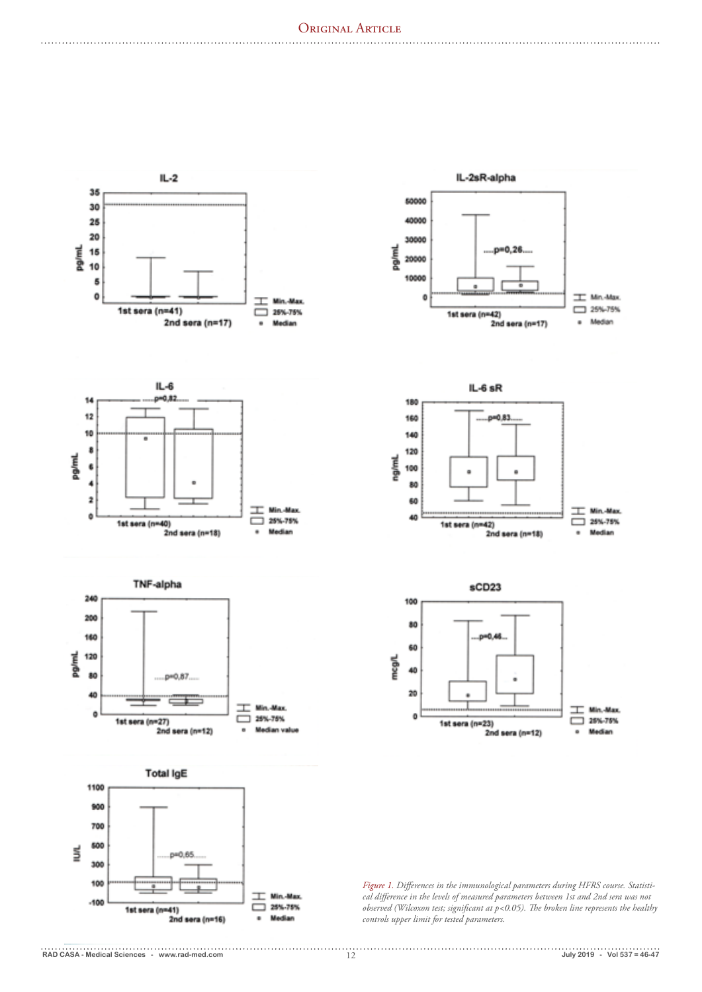

. . . . . . . . . . . . . . . . . . .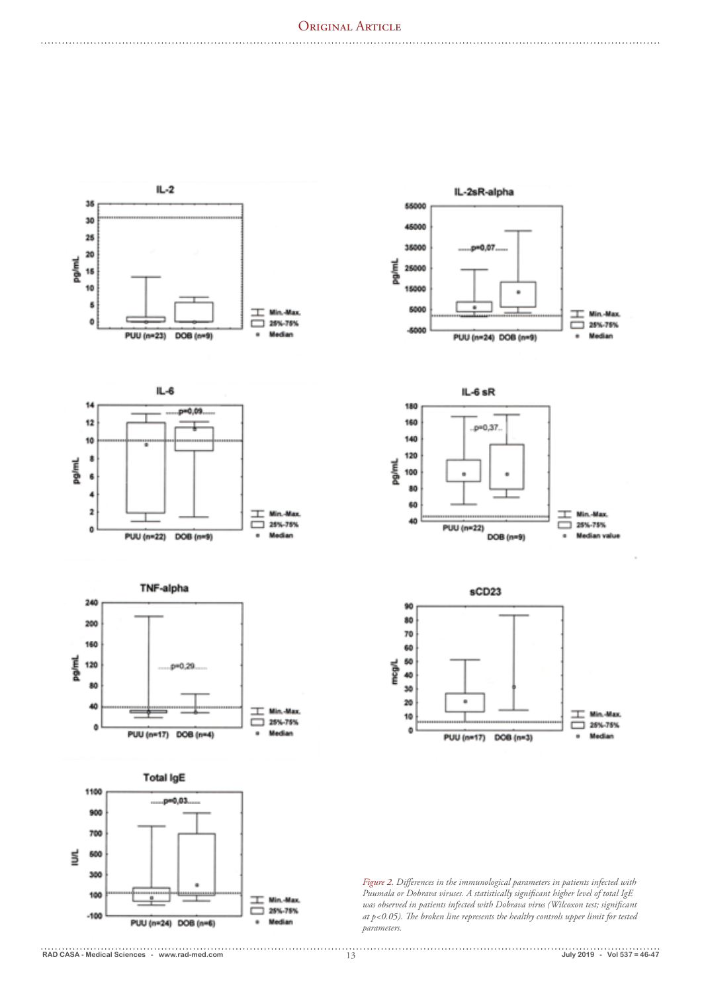# ORIGINAL ARTICLE

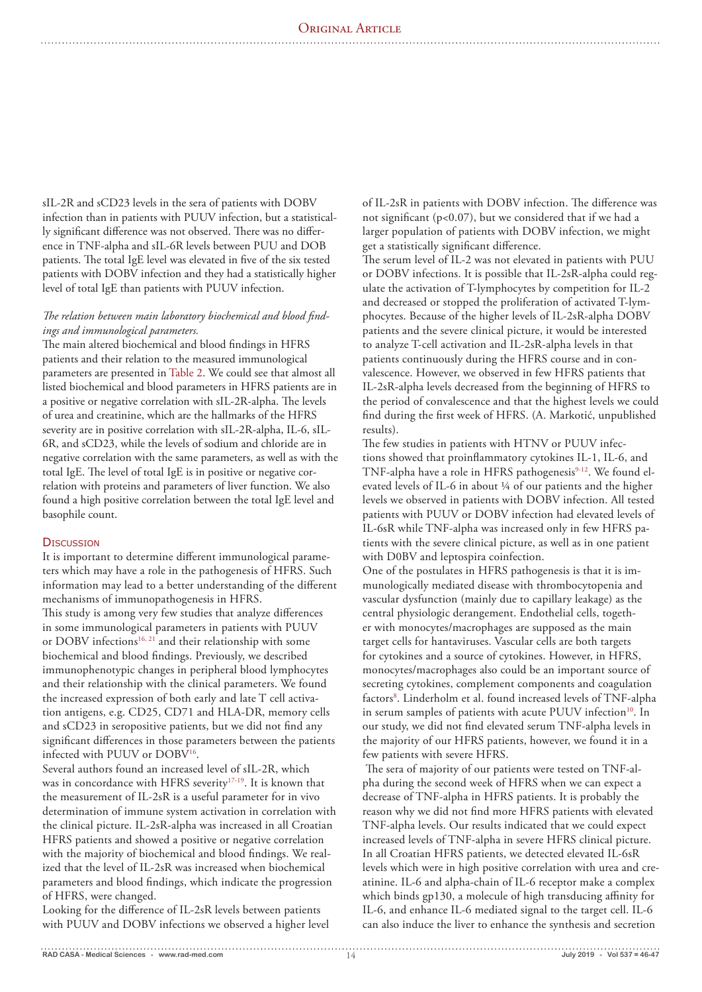sIL-2R and sCD23 levels in the sera of patients with DOBV infection than in patients with PUUV infection, but a statistically significant difference was not observed. There was no difference in TNF-alpha and sIL-6R levels between PUU and DOB patients. The total IgE level was elevated in five of the six tested patients with DOBV infection and they had a statistically higher level of total IgE than patients with PUUV infection.

# *The relation between main laboratory biochemical and blood findings and immunological parameters.*

The main altered biochemical and blood findings in HFRS patients and their relation to the measured immunological parameters are presented in Table 2. We could see that almost all listed biochemical and blood parameters in HFRS patients are in a positive or negative correlation with sIL-2R-alpha. The levels of urea and creatinine, which are the hallmarks of the HFRS severity are in positive correlation with sIL-2R-alpha, IL-6, sIL-6R, and sCD23, while the levels of sodium and chloride are in negative correlation with the same parameters, as well as with the total IgE. The level of total IgE is in positive or negative correlation with proteins and parameters of liver function. We also found a high positive correlation between the total IgE level and basophile count.

## **DISCUSSION**

It is important to determine different immunological parameters which may have a role in the pathogenesis of HFRS. Such information may lead to a better understanding of the different mechanisms of immunopathogenesis in HFRS. This study is among very few studies that analyze differences in some immunological parameters in patients with PUUV or DOBV infections<sup>16, 21</sup> and their relationship with some biochemical and blood findings. Previously, we described immunophenotypic changes in peripheral blood lymphocytes and their relationship with the clinical parameters. We found the increased expression of both early and late T cell activation antigens, e.g. CD25, CD71 and HLA-DR, memory cells and sCD23 in seropositive patients, but we did not find any significant differences in those parameters between the patients infected with PUUV or DOBV16.

Several authors found an increased level of sIL-2R, which was in concordance with HFRS severity<sup>17-19</sup>. It is known that the measurement of IL-2sR is a useful parameter for in vivo determination of immune system activation in correlation with the clinical picture. IL-2sR-alpha was increased in all Croatian HFRS patients and showed a positive or negative correlation with the majority of biochemical and blood findings. We realized that the level of IL-2sR was increased when biochemical parameters and blood findings, which indicate the progression of HFRS, were changed.

Looking for the difference of IL-2sR levels between patients with PUUV and DOBV infections we observed a higher level of IL-2sR in patients with DOBV infection. The difference was not significant (p<0.07), but we considered that if we had a larger population of patients with DOBV infection, we might get a statistically significant difference.

The serum level of IL-2 was not elevated in patients with PUU or DOBV infections. It is possible that IL-2sR-alpha could regulate the activation of T-lymphocytes by competition for IL-2 and decreased or stopped the proliferation of activated T-lymphocytes. Because of the higher levels of IL-2sR-alpha DOBV patients and the severe clinical picture, it would be interested to analyze T-cell activation and IL-2sR-alpha levels in that patients continuously during the HFRS course and in convalescence. However, we observed in few HFRS patients that IL-2sR-alpha levels decreased from the beginning of HFRS to the period of convalescence and that the highest levels we could find during the first week of HFRS. (A. Markotić, unpublished results).

The few studies in patients with HTNV or PUUV infections showed that proinflammatory cytokines IL-1, IL-6, and TNF-alpha have a role in HFRS pathogenesis<sup>9-12</sup>. We found elevated levels of IL-6 in about ¼ of our patients and the higher levels we observed in patients with DOBV infection. All tested patients with PUUV or DOBV infection had elevated levels of IL-6sR while TNF-alpha was increased only in few HFRS patients with the severe clinical picture, as well as in one patient with D0BV and leptospira coinfection.

One of the postulates in HFRS pathogenesis is that it is immunologically mediated disease with thrombocytopenia and vascular dysfunction (mainly due to capillary leakage) as the central physiologic derangement. Endothelial cells, together with monocytes/macrophages are supposed as the main target cells for hantaviruses. Vascular cells are both targets for cytokines and a source of cytokines. However, in HFRS, monocytes/macrophages also could be an important source of secreting cytokines, complement components and coagulation factors<sup>8</sup>. Linderholm et al. found increased levels of TNF-alpha in serum samples of patients with acute PUUV infection<sup>10</sup>. In our study, we did not find elevated serum TNF-alpha levels in the majority of our HFRS patients, however, we found it in a few patients with severe HFRS.

 The sera of majority of our patients were tested on TNF-alpha during the second week of HFRS when we can expect a decrease of TNF-alpha in HFRS patients. It is probably the reason why we did not find more HFRS patients with elevated TNF-alpha levels. Our results indicated that we could expect increased levels of TNF-alpha in severe HFRS clinical picture. In all Croatian HFRS patients, we detected elevated IL-6sR levels which were in high positive correlation with urea and creatinine. IL-6 and alpha-chain of IL-6 receptor make a complex which binds gp130, a molecule of high transducing affinity for IL-6, and enhance IL-6 mediated signal to the target cell. IL-6 can also induce the liver to enhance the synthesis and secretion